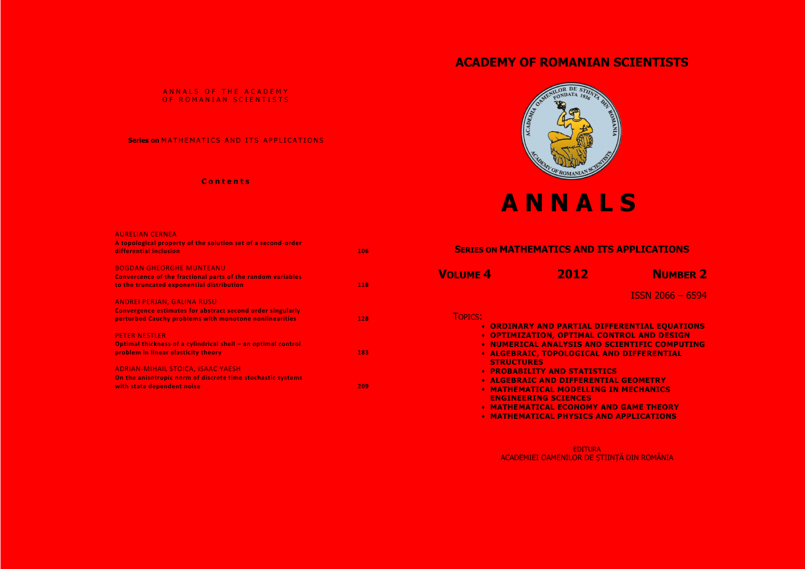## **C o n t e n t s**



| <b>AURELIAN CERNEA</b><br>A topological property of the solution set of a second-order<br>differential inclusion                                          | 106 | <b>SERIES ON MATHEMATICS AND ITS</b> |                                                                            |
|-----------------------------------------------------------------------------------------------------------------------------------------------------------|-----|--------------------------------------|----------------------------------------------------------------------------|
| <b>BOGDAN GHEORGHE MUNTEANU</b><br>Convercence of the fractional parts of the random variables<br>to the truncated exponential distribution               | 118 | <b>VOLUME 4</b>                      | 2012                                                                       |
| ANDREI PERJAN, GALINA RUSU<br><b>Convergence estimates for abstract second order singularly</b><br>perturbed Cauchy problems with monotone nonlinearities | 128 | <b>TOPICS:</b>                       |                                                                            |
| <b>PETER NESTLER</b>                                                                                                                                      |     |                                      | <b>• ORDINARY AND PARTIAL DIFFE</b><br><b>• OPTIMIZATION, OPTIMAL CONT</b> |
| Optimal thickness of a cylindrical shell - an optimal control<br>problem in linear elasticity theory                                                      | 183 |                                      | <b>. NUMERICAL ANALYSIS AND SC.</b><br><b>. ALGEBRAIC, TOPOLOGICAL ANI</b> |
| <b>ADRIAN-MIHAIL STOICA, ISAAC YAESH</b>                                                                                                                  |     | <b>STRUCTURES</b>                    | <b>• PROBABILITY AND STATISTICS</b>                                        |
| On the anisotropic norm of discrete time stochastic systems<br>with state dependent noise                                                                 | 209 |                                      | <b>* ALGEBRAIC AND DIFFERENTIAL</b><br><b>• MATHEMATICAL MODELLING IN</b>  |
|                                                                                                                                                           |     |                                      | <b>ENGINEERING SCIENCES</b><br><b>• MATHEMATICAL ECONOMY AND</b>           |
|                                                                                                                                                           |     |                                      | ◆ MATHEMATICAL PHYSICS AND                                                 |

## **ACADEMY OF ROMANIAN SCIENTISTS**

## ANNALS OF THE ACADEMY OF ROMANIAN SCIENTISTS

## **Series on MATHEMATICS AND ITS APPLICATIONS**

# **A N N A L S**

ISSN 2066 – 6594

**FERENTIAL EQUATIONS NTROL AND DESIGN NUMERICAL COMPUTING ND DIFFERENTIAL** 

**AL GEOMETRY IN MECHANICS** 

**ND GAME THEORY MATHEMATIONS** 

EDITURA ACADEMIEI OAMENILOR DE ȘTIINȚĂ DIN ROMÂNIA





## **S**<br> **S**<br> **EXPLICATIONS**

**NUMBER 2**